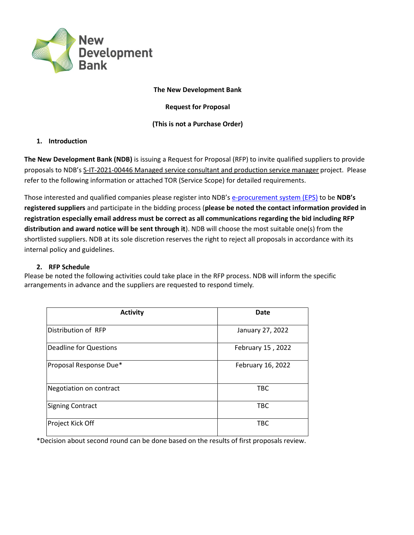

#### The New Development Bank

Request for Proposal

## (This is not a Purchase Order)

# 1. Introduction

The New Development Bank (NDB) is issuing a Request for Proposal (RFP) to invite qualified suppliers to provide proposals to NDB's S-IT-2021-00446 Managed service consultant and production service manager project. Please refer to the following information or attached TOR (Service Scope) for detailed requirements.

Those interested and qualified companies please register into NDB's e-procurement system (EPS) to be NDB's registered suppliers and participate in the bidding process (please be noted the contact information provided in registration especially email address must be correct as all communications regarding the bid including RFP distribution and award notice will be sent through it). NDB will choose the most suitable one(s) from the shortlisted suppliers. NDB at its sole discretion reserves the right to reject all proposals in accordance with its internal policy and guidelines.

## 2. RFP Schedule

Please be noted the following activities could take place in the RFP process. NDB will inform the specific arrangements in advance and the suppliers are requested to respond timely.

| <b>Activity</b>               | <b>Date</b>       |
|-------------------------------|-------------------|
| Distribution of RFP           | January 27, 2022  |
| <b>Deadline for Questions</b> | February 15, 2022 |
| Proposal Response Due*        | February 16, 2022 |
| Negotiation on contract       | <b>TBC</b>        |
| Signing Contract              | <b>TBC</b>        |
| Project Kick Off              | <b>TBC</b>        |

\*Decision about second round can be done based on the results of first proposals review.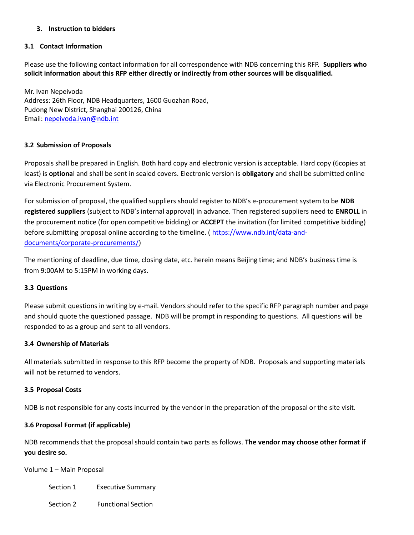# 3. Instruction to bidders

#### 3.1 Contact Information

Please use the following contact information for all correspondence with NDB concerning this RFP. Suppliers who solicit information about this RFP either directly or indirectly from other sources will be disqualified.

Mr. Ivan Nepeivoda Address: 26th Floor, NDB Headquarters, 1600 Guozhan Road, Pudong New District, Shanghai 200126, China Email: nepeivoda.ivan@ndb.int

# 3.2 Submission of Proposals

Proposals shall be prepared in English. Both hard copy and electronic version is acceptable. Hard copy (6copies at least) is **optional** and shall be sent in sealed covers. Electronic version is **obligatory** and shall be submitted online via Electronic Procurement System.

For submission of proposal, the qualified suppliers should register to NDB's e-procurement system to be NDB registered suppliers (subject to NDB's internal approval) in advance. Then registered suppliers need to ENROLL in the procurement notice (for open competitive bidding) or **ACCEPT** the invitation (for limited competitive bidding) before submitting proposal online according to the timeline. (https://www.ndb.int/data-anddocuments/corporate-procurements/)

The mentioning of deadline, due time, closing date, etc. herein means Beijing time; and NDB's business time is from 9:00AM to 5:15PM in working days.

#### 3.3 Questions

Please submit questions in writing by e-mail. Vendors should refer to the specific RFP paragraph number and page and should quote the questioned passage. NDB will be prompt in responding to questions. All questions will be responded to as a group and sent to all vendors.

#### 3.4 Ownership of Materials

All materials submitted in response to this RFP become the property of NDB. Proposals and supporting materials will not be returned to vendors.

#### 3.5 Proposal Costs

NDB is not responsible for any costs incurred by the vendor in the preparation of the proposal or the site visit.

#### 3.6 Proposal Format (if applicable)

NDB recommends that the proposal should contain two parts as follows. The vendor may choose other format if you desire so.

Volume 1 – Main Proposal

Section 1 Executive Summary

Section 2 Functional Section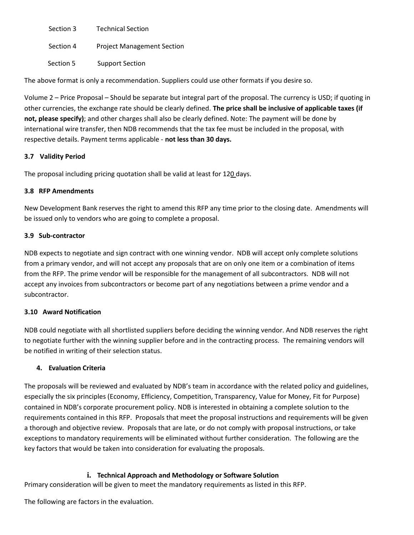Section 3 Technical Section Section 4 Project Management Section Section 5 Support Section

The above format is only a recommendation. Suppliers could use other formats if you desire so.

Volume 2 – Price Proposal – Should be separate but integral part of the proposal. The currency is USD; if quoting in other currencies, the exchange rate should be clearly defined. The price shall be inclusive of applicable taxes (if not, please specify); and other charges shall also be clearly defined. Note: The payment will be done by international wire transfer, then NDB recommends that the tax fee must be included in the proposal, with respective details. Payment terms applicable - not less than 30 days.

# 3.7 Validity Period

The proposal including pricing quotation shall be valid at least for 120 days.

#### 3.8 RFP Amendments

New Development Bank reserves the right to amend this RFP any time prior to the closing date. Amendments will be issued only to vendors who are going to complete a proposal.

# 3.9 Sub-contractor

NDB expects to negotiate and sign contract with one winning vendor. NDB will accept only complete solutions from a primary vendor, and will not accept any proposals that are on only one item or a combination of items from the RFP. The prime vendor will be responsible for the management of all subcontractors. NDB will not accept any invoices from subcontractors or become part of any negotiations between a prime vendor and a subcontractor.

#### 3.10 Award Notification

NDB could negotiate with all shortlisted suppliers before deciding the winning vendor. And NDB reserves the right to negotiate further with the winning supplier before and in the contracting process. The remaining vendors will be notified in writing of their selection status.

# 4. Evaluation Criteria

The proposals will be reviewed and evaluated by NDB's team in accordance with the related policy and guidelines, especially the six principles (Economy, Efficiency, Competition, Transparency, Value for Money, Fit for Purpose) contained in NDB's corporate procurement policy. NDB is interested in obtaining a complete solution to the requirements contained in this RFP. Proposals that meet the proposal instructions and requirements will be given a thorough and objective review. Proposals that are late, or do not comply with proposal instructions, or take exceptions to mandatory requirements will be eliminated without further consideration. The following are the key factors that would be taken into consideration for evaluating the proposals.

## i. Technical Approach and Methodology or Software Solution

Primary consideration will be given to meet the mandatory requirements as listed in this RFP.

The following are factors in the evaluation.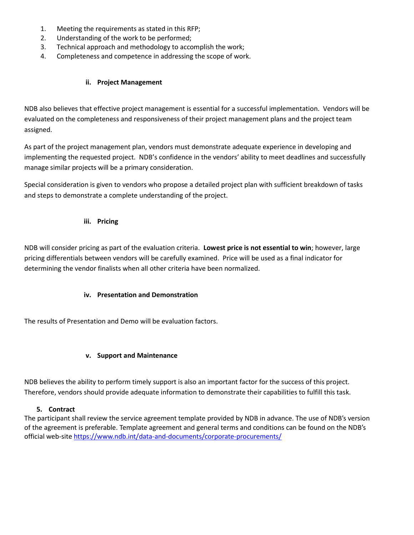- 1. Meeting the requirements as stated in this RFP;
- 2. Understanding of the work to be performed;
- 3. Technical approach and methodology to accomplish the work;
- 4. Completeness and competence in addressing the scope of work.

#### ii. Project Management

NDB also believes that effective project management is essential for a successful implementation. Vendors will be evaluated on the completeness and responsiveness of their project management plans and the project team assigned.

As part of the project management plan, vendors must demonstrate adequate experience in developing and implementing the requested project. NDB's confidence in the vendors' ability to meet deadlines and successfully manage similar projects will be a primary consideration.

Special consideration is given to vendors who propose a detailed project plan with sufficient breakdown of tasks and steps to demonstrate a complete understanding of the project.

#### iii. Pricing

NDB will consider pricing as part of the evaluation criteria. Lowest price is not essential to win; however, large pricing differentials between vendors will be carefully examined. Price will be used as a final indicator for determining the vendor finalists when all other criteria have been normalized.

#### iv. Presentation and Demonstration

The results of Presentation and Demo will be evaluation factors.

#### v. Support and Maintenance

NDB believes the ability to perform timely support is also an important factor for the success of this project. Therefore, vendors should provide adequate information to demonstrate their capabilities to fulfill this task.

#### 5. Contract

The participant shall review the service agreement template provided by NDB in advance. The use of NDB's version of the agreement is preferable. Template agreement and general terms and conditions can be found on the NDB's official web-site https://www.ndb.int/data-and-documents/corporate-procurements/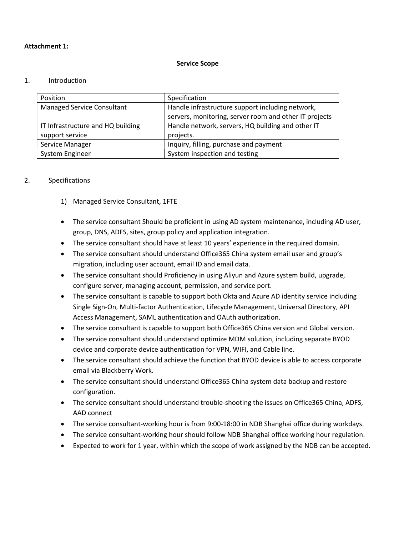#### Attachment 1:

#### Service Scope

#### 1. Introduction

| Position                          | Specification                                                                                              |
|-----------------------------------|------------------------------------------------------------------------------------------------------------|
| <b>Managed Service Consultant</b> | Handle infrastructure support including network,<br>servers, monitoring, server room and other IT projects |
| IT Infrastructure and HQ building | Handle network, servers, HQ building and other IT                                                          |
| support service                   | projects.                                                                                                  |
| Service Manager                   | Inquiry, filling, purchase and payment                                                                     |
| System Engineer                   | System inspection and testing                                                                              |

# 2. Specifications

- 1) Managed Service Consultant, 1FTE
- The service consultant Should be proficient in using AD system maintenance, including AD user, group, DNS, ADFS, sites, group policy and application integration.
- The service consultant should have at least 10 years' experience in the required domain.
- The service consultant should understand Office365 China system email user and group's migration, including user account, email ID and email data.
- The service consultant should Proficiency in using Aliyun and Azure system build, upgrade, configure server, managing account, permission, and service port.
- The service consultant is capable to support both Okta and Azure AD identity service including Single Sign-On, Multi-factor Authentication, Lifecycle Management, Universal Directory, API Access Management, SAML authentication and OAuth authorization.
- The service consultant is capable to support both Office365 China version and Global version.
- The service consultant should understand optimize MDM solution, including separate BYOD device and corporate device authentication for VPN, WIFI, and Cable line.
- The service consultant should achieve the function that BYOD device is able to access corporate email via Blackberry Work.
- The service consultant should understand Office365 China system data backup and restore configuration.
- The service consultant should understand trouble-shooting the issues on Office365 China, ADFS, AAD connect
- The service consultant-working hour is from 9:00-18:00 in NDB Shanghai office during workdays.
- The service consultant-working hour should follow NDB Shanghai office working hour regulation.
- Expected to work for 1 year, within which the scope of work assigned by the NDB can be accepted.